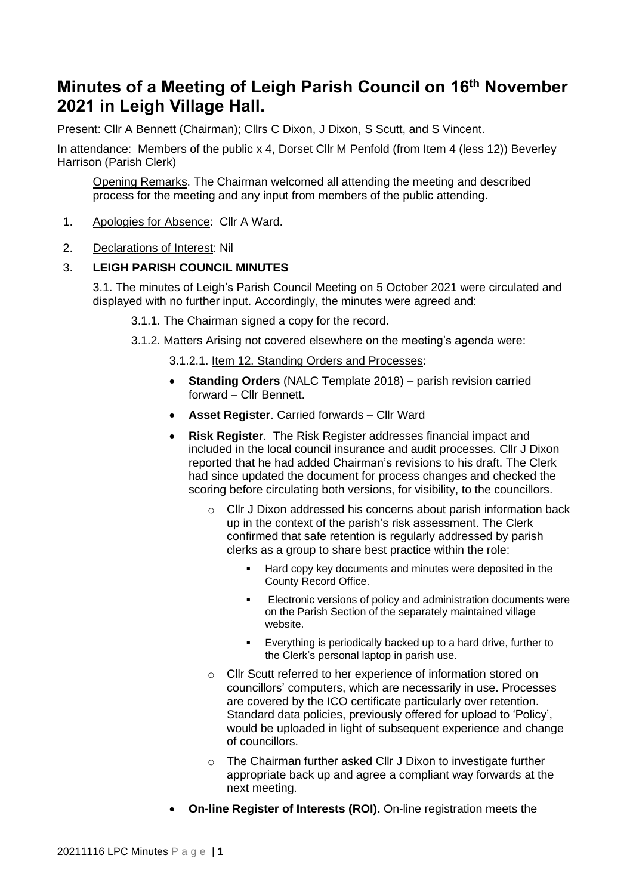# **Minutes of a Meeting of Leigh Parish Council on 16 th November 2021 in Leigh Village Hall.**

Present: Cllr A Bennett (Chairman); Cllrs C Dixon, J Dixon, S Scutt, and S Vincent.

In attendance: Members of the public x 4, Dorset Cllr M Penfold (from Item 4 (less 12)) Beverley Harrison (Parish Clerk)

Opening Remarks. The Chairman welcomed all attending the meeting and described process for the meeting and any input from members of the public attending.

- 1. Apologies for Absence: Cllr A Ward.
- 2. Declarations of Interest: Nil

## 3. **LEIGH PARISH COUNCIL MINUTES**

3.1. The minutes of Leigh's Parish Council Meeting on 5 October 2021 were circulated and displayed with no further input. Accordingly, the minutes were agreed and:

3.1.1. The Chairman signed a copy for the record.

- 3.1.2. Matters Arising not covered elsewhere on the meeting's agenda were:
	- 3.1.2.1. Item 12. Standing Orders and Processes:
	- **Standing Orders** (NALC Template 2018) parish revision carried forward – Cllr Bennett.
	- **Asset Register**. Carried forwards Cllr Ward
	- **Risk Register**. The Risk Register addresses financial impact and included in the local council insurance and audit processes. Cllr J Dixon reported that he had added Chairman's revisions to his draft. The Clerk had since updated the document for process changes and checked the scoring before circulating both versions, for visibility, to the councillors.
		- o Cllr J Dixon addressed his concerns about parish information back up in the context of the parish's risk assessment. The Clerk confirmed that safe retention is regularly addressed by parish clerks as a group to share best practice within the role:
			- Hard copy key documents and minutes were deposited in the County Record Office.
			- Electronic versions of policy and administration documents were on the Parish Section of the separately maintained village website.
			- Everything is periodically backed up to a hard drive, further to the Clerk's personal laptop in parish use.
		- o Cllr Scutt referred to her experience of information stored on councillors' computers, which are necessarily in use. Processes are covered by the ICO certificate particularly over retention. Standard data policies, previously offered for upload to 'Policy', would be uploaded in light of subsequent experience and change of councillors.
		- o The Chairman further asked Cllr J Dixon to investigate further appropriate back up and agree a compliant way forwards at the next meeting.
	- **On-line Register of Interests (ROI).** On-line registration meets the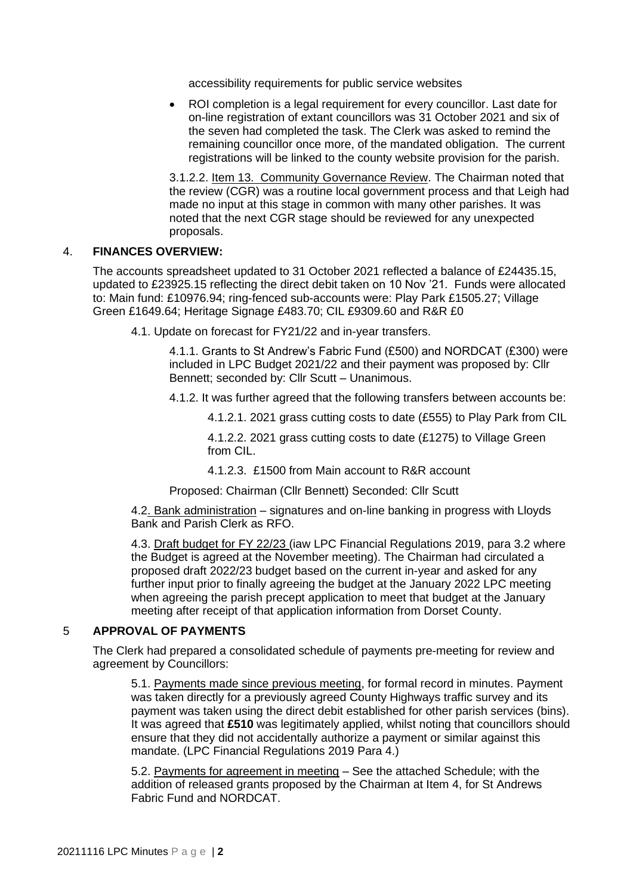accessibility requirements for public service websites

• ROI completion is a legal requirement for every councillor. Last date for on-line registration of extant councillors was 31 October 2021 and six of the seven had completed the task. The Clerk was asked to remind the remaining councillor once more, of the mandated obligation. The current registrations will be linked to the county website provision for the parish.

3.1.2.2. Item 13. Community Governance Review. The Chairman noted that the review (CGR) was a routine local government process and that Leigh had made no input at this stage in common with many other parishes. It was noted that the next CGR stage should be reviewed for any unexpected proposals.

#### 4. **FINANCES OVERVIEW:**

The accounts spreadsheet updated to 31 October 2021 reflected a balance of £24435.15, updated to £23925.15 reflecting the direct debit taken on 10 Nov '21. Funds were allocated to: Main fund: £10976.94; ring-fenced sub-accounts were: Play Park £1505.27; Village Green £1649.64; Heritage Signage £483.70; CIL £9309.60 and R&R £0

4.1. Update on forecast for FY21/22 and in-year transfers.

4.1.1. Grants to St Andrew's Fabric Fund (£500) and NORDCAT (£300) were included in LPC Budget 2021/22 and their payment was proposed by: Cllr Bennett; seconded by: Cllr Scutt – Unanimous.

4.1.2. It was further agreed that the following transfers between accounts be:

4.1.2.1. 2021 grass cutting costs to date (£555) to Play Park from CIL

4.1.2.2. 2021 grass cutting costs to date (£1275) to Village Green from CIL.

4.1.2.3. £1500 from Main account to R&R account

Proposed: Chairman (Cllr Bennett) Seconded: Cllr Scutt

4.2. Bank administration – signatures and on-line banking in progress with Lloyds Bank and Parish Clerk as RFO.

4.3. Draft budget for FY 22/23 (iaw LPC Financial Regulations 2019, para 3.2 where the Budget is agreed at the November meeting). The Chairman had circulated a proposed draft 2022/23 budget based on the current in-year and asked for any further input prior to finally agreeing the budget at the January 2022 LPC meeting when agreeing the parish precept application to meet that budget at the January meeting after receipt of that application information from Dorset County.

## 5 **APPROVAL OF PAYMENTS**

The Clerk had prepared a consolidated schedule of payments pre-meeting for review and agreement by Councillors:

5.1. Payments made since previous meeting, for formal record in minutes. Payment was taken directly for a previously agreed County Highways traffic survey and its payment was taken using the direct debit established for other parish services (bins). It was agreed that **£510** was legitimately applied, whilst noting that councillors should ensure that they did not accidentally authorize a payment or similar against this mandate. (LPC Financial Regulations 2019 Para 4.)

5.2. Payments for agreement in meeting – See the attached Schedule; with the addition of released grants proposed by the Chairman at Item 4, for St Andrews Fabric Fund and NORDCAT.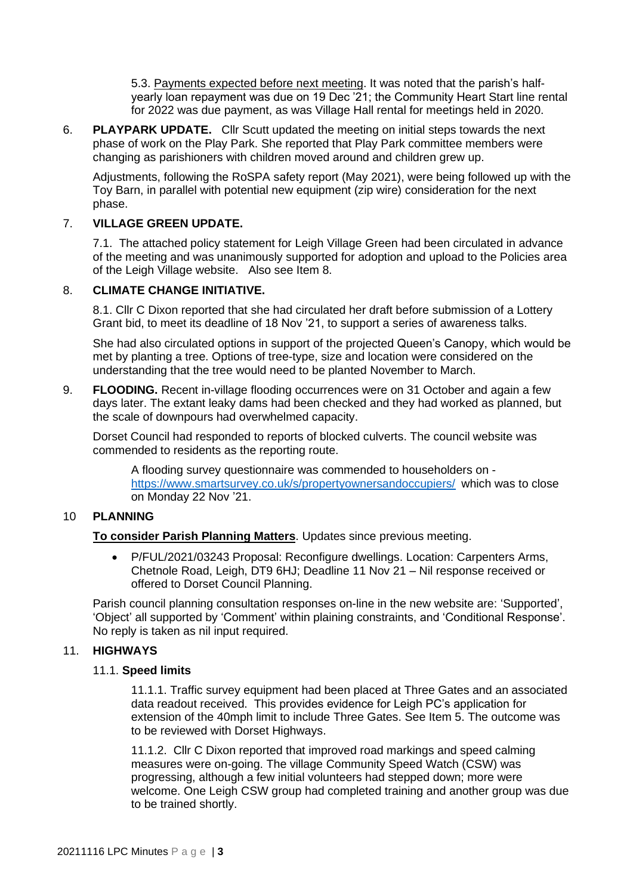5.3. Payments expected before next meeting. It was noted that the parish's halfyearly loan repayment was due on 19 Dec '21; the Community Heart Start line rental for 2022 was due payment, as was Village Hall rental for meetings held in 2020.

6. **PLAYPARK UPDATE.** Cllr Scutt updated the meeting on initial steps towards the next phase of work on the Play Park. She reported that Play Park committee members were changing as parishioners with children moved around and children grew up.

Adjustments, following the RoSPA safety report (May 2021), were being followed up with the Toy Barn, in parallel with potential new equipment (zip wire) consideration for the next phase.

## 7. **VILLAGE GREEN UPDATE.**

7.1. The attached policy statement for Leigh Village Green had been circulated in advance of the meeting and was unanimously supported for adoption and upload to the Policies area of the Leigh Village website. Also see Item 8.

## 8. **CLIMATE CHANGE INITIATIVE.**

8.1. Cllr C Dixon reported that she had circulated her draft before submission of a Lottery Grant bid, to meet its deadline of 18 Nov '21, to support a series of awareness talks.

She had also circulated options in support of the projected Queen's Canopy, which would be met by planting a tree. Options of tree-type, size and location were considered on the understanding that the tree would need to be planted November to March.

9. **FLOODING.** Recent in-village flooding occurrences were on 31 October and again a few days later. The extant leaky dams had been checked and they had worked as planned, but the scale of downpours had overwhelmed capacity.

Dorset Council had responded to reports of blocked culverts. The council website was commended to residents as the reporting route.

A flooding survey questionnaire was commended to householders on <https://www.smartsurvey.co.uk/s/propertyownersandoccupiers/> which was to close on Monday 22 Nov '21.

## 10 **PLANNING**

## **To consider Parish Planning Matters**. Updates since previous meeting.

• P/FUL/2021/03243 Proposal: Reconfigure dwellings. Location: Carpenters Arms, Chetnole Road, Leigh, DT9 6HJ; Deadline 11 Nov 21 – Nil response received or offered to Dorset Council Planning.

Parish council planning consultation responses on-line in the new website are: 'Supported', 'Object' all supported by 'Comment' within plaining constraints, and 'Conditional Response'. No reply is taken as nil input required.

# 11. **HIGHWAYS**

## 11.1. **Speed limits**

11.1.1. Traffic survey equipment had been placed at Three Gates and an associated data readout received. This provides evidence for Leigh PC's application for extension of the 40mph limit to include Three Gates. See Item 5. The outcome was to be reviewed with Dorset Highways.

11.1.2. Cllr C Dixon reported that improved road markings and speed calming measures were on-going. The village Community Speed Watch (CSW) was progressing, although a few initial volunteers had stepped down; more were welcome. One Leigh CSW group had completed training and another group was due to be trained shortly.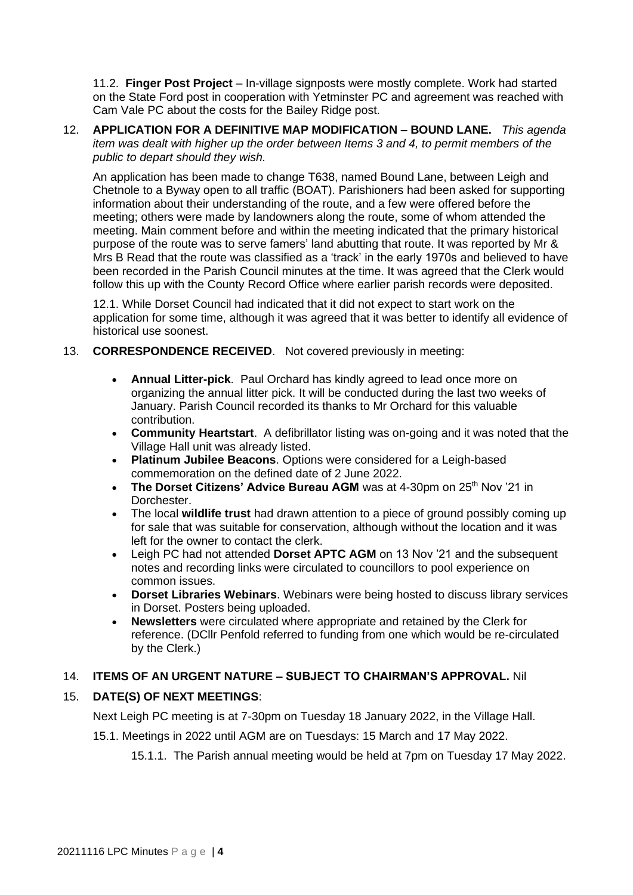11.2. **Finger Post Project** – In-village signposts were mostly complete. Work had started on the State Ford post in cooperation with Yetminster PC and agreement was reached with Cam Vale PC about the costs for the Bailey Ridge post.

12. **APPLICATION FOR A DEFINITIVE MAP MODIFICATION – BOUND LANE.** *This agenda item was dealt with higher up the order between Items 3 and 4, to permit members of the public to depart should they wish.* 

An application has been made to change T638, named Bound Lane, between Leigh and Chetnole to a Byway open to all traffic (BOAT). Parishioners had been asked for supporting information about their understanding of the route, and a few were offered before the meeting; others were made by landowners along the route, some of whom attended the meeting. Main comment before and within the meeting indicated that the primary historical purpose of the route was to serve famers' land abutting that route. It was reported by Mr & Mrs B Read that the route was classified as a 'track' in the early 1970s and believed to have been recorded in the Parish Council minutes at the time. It was agreed that the Clerk would follow this up with the County Record Office where earlier parish records were deposited.

12.1. While Dorset Council had indicated that it did not expect to start work on the application for some time, although it was agreed that it was better to identify all evidence of historical use soonest.

## 13. **CORRESPONDENCE RECEIVED**. Not covered previously in meeting:

- **Annual Litter-pick**. Paul Orchard has kindly agreed to lead once more on organizing the annual litter pick. It will be conducted during the last two weeks of January. Parish Council recorded its thanks to Mr Orchard for this valuable contribution.
- **Community Heartstart**. A defibrillator listing was on-going and it was noted that the Village Hall unit was already listed.
- **Platinum Jubilee Beacons**. Options were considered for a Leigh-based commemoration on the defined date of 2 June 2022.
- **The Dorset Citizens' Advice Bureau AGM** was at 4-30pm on 25<sup>th</sup> Nov '21 in Dorchester.
- The local **wildlife trust** had drawn attention to a piece of ground possibly coming up for sale that was suitable for conservation, although without the location and it was left for the owner to contact the clerk.
- Leigh PC had not attended **Dorset APTC AGM** on 13 Nov '21 and the subsequent notes and recording links were circulated to councillors to pool experience on common issues.
- **Dorset Libraries Webinars**. Webinars were being hosted to discuss library services in Dorset. Posters being uploaded.
- **Newsletters** were circulated where appropriate and retained by the Clerk for reference. (DCllr Penfold referred to funding from one which would be re-circulated by the Clerk.)

## 14. **ITEMS OF AN URGENT NATURE – SUBJECT TO CHAIRMAN'S APPROVAL.** Nil

## 15. **DATE(S) OF NEXT MEETINGS**:

Next Leigh PC meeting is at 7-30pm on Tuesday 18 January 2022, in the Village Hall.

15.1. Meetings in 2022 until AGM are on Tuesdays: 15 March and 17 May 2022.

15.1.1. The Parish annual meeting would be held at 7pm on Tuesday 17 May 2022.